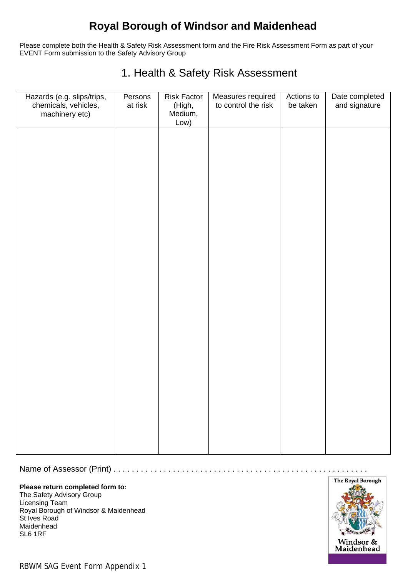## **Royal Borough of Windsor and Maidenhead**

Please complete both the Health & Safety Risk Assessment form and the Fire Risk Assessment Form as part of your EVENT Form submission to the Safety Advisory Group

### 1. Health & Safety Risk Assessment

| Hazards (e.g. slips/trips,<br>chemicals, vehicles,<br>machinery etc) | Persons<br>at risk | <b>Risk Factor</b><br>(High,<br>Medium,<br>Low) | Measures required<br>to control the risk | Actions to<br>be taken | Date completed<br>and signature |
|----------------------------------------------------------------------|--------------------|-------------------------------------------------|------------------------------------------|------------------------|---------------------------------|
|                                                                      |                    |                                                 |                                          |                        |                                 |
|                                                                      |                    |                                                 |                                          |                        |                                 |
|                                                                      |                    |                                                 |                                          |                        |                                 |
|                                                                      |                    |                                                 |                                          |                        |                                 |
|                                                                      |                    |                                                 |                                          |                        |                                 |
|                                                                      |                    |                                                 |                                          |                        |                                 |
|                                                                      |                    |                                                 |                                          |                        |                                 |
|                                                                      |                    |                                                 |                                          |                        |                                 |
|                                                                      |                    |                                                 |                                          |                        |                                 |

#### Name of Assessor (Print) . . . . . . . . . . . . . . . . . . . . . . . . . . . . . . . . . . . . . . . . . . . . . . . . . . . . . . . .

#### **Please return completed form to:**

The Safety Advisory Group Licensing Team Royal Borough of Windsor & Maidenhead St Ives Road Maidenhead SL6 1RF